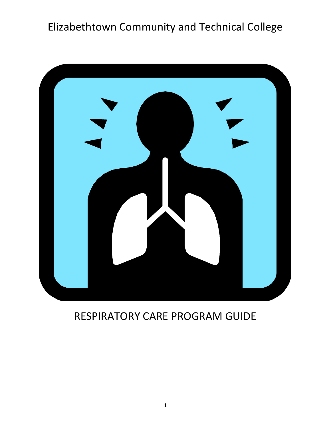# Elizabethtown Community and Technical College



# <span id="page-0-0"></span>RESPIRATORY CARE PROGRAM GUIDE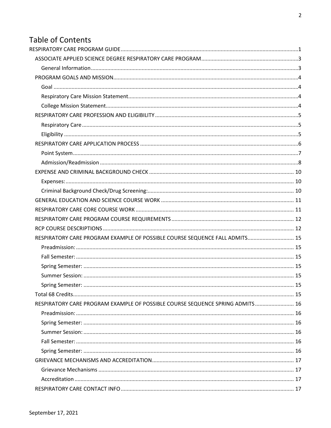# **Table of Contents**

| RESPIRATORY CARE PROGRAM EXAMPLE OF POSSIBLE COURSE SEQUENCE FALL ADMITS 15    |  |
|--------------------------------------------------------------------------------|--|
|                                                                                |  |
|                                                                                |  |
|                                                                                |  |
|                                                                                |  |
|                                                                                |  |
|                                                                                |  |
| RESPIRATORY CARE PROGRAM EXAMPLE OF POSSIBLE COURSE SEQUENCE SPRING ADMITS  16 |  |
|                                                                                |  |
|                                                                                |  |
|                                                                                |  |
|                                                                                |  |
|                                                                                |  |
|                                                                                |  |
|                                                                                |  |
|                                                                                |  |
|                                                                                |  |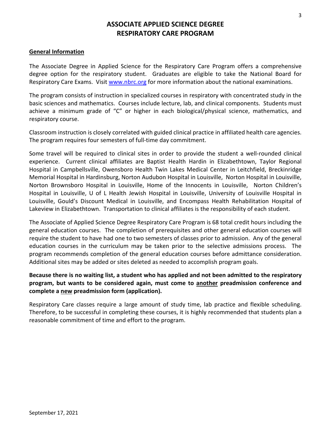# **ASSOCIATE APPLIED SCIENCE DEGREE RESPIRATORY CARE PROGRAM**

#### <span id="page-2-1"></span><span id="page-2-0"></span>**General Information**

The Associate Degree in Applied Science for the Respiratory Care Program offers a comprehensive degree option for the respiratory student. Graduates are eligible to take the National Board for Respiratory Care Exams. Visit [www.nbrc.org](https://www.nbrc.org/) for more information about the national examinations.

The program consists of instruction in specialized courses in respiratory with concentrated study in the basic sciences and mathematics. Courses include lecture, lab, and clinical components. Students must achieve a minimum grade of "C" or higher in each biological/physical science, mathematics, and respiratory course.

Classroom instruction is closely correlated with guided clinical practice in affiliated health care agencies. The program requires four semesters of full-time day commitment.

Some travel will be required to clinical sites in order to provide the student a well-rounded clinical experience. Current clinical affiliates are Baptist Health Hardin in Elizabethtown, Taylor Regional Hospital in Campbellsville, Owensboro Health Twin Lakes Medical Center in Leitchfield, Breckinridge Memorial Hospital in Hardinsburg, Norton Audubon Hospital in Louisville, Norton Hospital in Louisville, Norton Brownsboro Hospital in Louisville, Home of the Innocents in Louisville, Norton Children's Hospital in Louisville, U of L Health Jewish Hospital in Louisville, University of Louisville Hospital in Louisville, Gould's Discount Medical in Louisville, and Encompass Health Rehabilitation Hospital of Lakeview in Elizabethtown. Transportation to clinical affiliates is the responsibility of each student.

The Associate of Applied Science Degree Respiratory Care Program is 68 total credit hours including the general education courses. The completion of prerequisites and other general education courses will require the student to have had one to two semesters of classes prior to admission. Any of the general education courses in the curriculum may be taken prior to the selective admissions process. The program recommends completion of the general education courses before admittance consideration. Additional sites may be added or sites deleted as needed to accomplish program goals.

### **Because there is no waiting list, a student who has applied and not been admitted to the respiratory program, but wants to be considered again, must come to another preadmission conference and complete a new preadmission form (application).**

Respiratory Care classes require a large amount of study time, lab practice and flexible scheduling. Therefore, to be successful in completing these courses, it is highly recommended that students plan a reasonable commitment of time and effort to the program.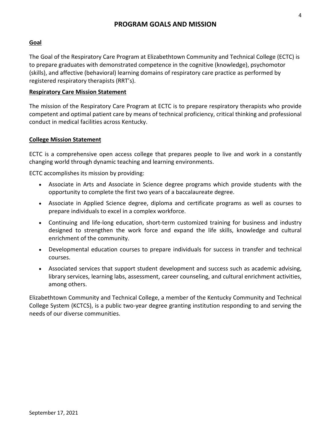#### <span id="page-3-1"></span><span id="page-3-0"></span>**Goal**

The Goal of the Respiratory Care Program at Elizabethtown Community and Technical College (ECTC) is to prepare graduates with demonstrated competence in the cognitive (knowledge), psychomotor (skills), and affective (behavioral) learning domains of respiratory care practice as performed by registered respiratory therapists (RRT's).

#### <span id="page-3-2"></span>**Respiratory Care Mission Statement**

The mission of the Respiratory Care Program at ECTC is to prepare respiratory therapists who provide competent and optimal patient care by means of technical proficiency, critical thinking and professional conduct in medical facilities across Kentucky.

#### <span id="page-3-3"></span>**College Mission Statement**

ECTC is a comprehensive open access college that prepares people to live and work in a constantly changing world through dynamic teaching and learning environments.

ECTC accomplishes its mission by providing:

- Associate in Arts and Associate in Science degree programs which provide students with the opportunity to complete the first two years of a baccalaureate degree.
- Associate in Applied Science degree, diploma and certificate programs as well as courses to prepare individuals to excel in a complex workforce.
- Continuing and life-long education, short-term customized training for business and industry designed to strengthen the work force and expand the life skills, knowledge and cultural enrichment of the community.
- Developmental education courses to prepare individuals for success in transfer and technical courses.
- Associated services that support student development and success such as academic advising, library services, learning labs, assessment, career counseling, and cultural enrichment activities, among others.

Elizabethtown Community and Technical College, a member of the Kentucky Community and Technical College System (KCTCS), is a public two-year degree granting institution responding to and serving the needs of our diverse communities.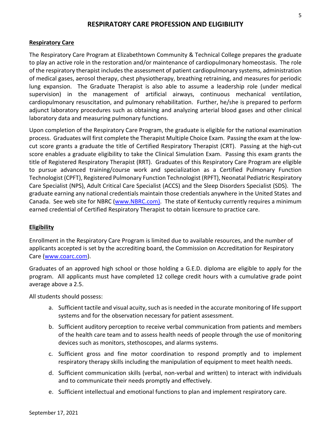#### **RESPIRATORY CARE PROFESSION AND ELIGIBILITY**

#### <span id="page-4-1"></span><span id="page-4-0"></span>**Respiratory Care**

The Respiratory Care Program at Elizabethtown Community & Technical College prepares the graduate to play an active role in the restoration and/or maintenance of cardiopulmonary homeostasis. The role of the respiratory therapist includes the assessment of patient cardiopulmonary systems, administration of medical gases, aerosol therapy, chest physiotherapy, breathing retraining, and measures for periodic lung expansion. The Graduate Therapist is also able to assume a leadership role (under medical supervision) in the management of artificial airways, continuous mechanical ventilation, cardiopulmonary resuscitation, and pulmonary rehabilitation. Further, he/she is prepared to perform adjunct laboratory procedures such as obtaining and analyzing arterial blood gases and other clinical laboratory data and measuring pulmonary functions.

Upon completion of the Respiratory Care Program, the graduate is eligible for the national examination process. Graduates will first complete the Therapist Multiple Choice Exam. Passing the exam at the lowcut score grants a graduate the title of Certified Respiratory Therapist (CRT). Passing at the high-cut score enables a graduate eligibility to take the Clinical Simulation Exam. Passing this exam grants the title of Registered Respiratory Therapist (RRT). Graduates of this Respiratory Care Program are eligible to pursue advanced training/course work and specialization as a Certified Pulmonary Function Technologist (CPFT), Registered Pulmonary Function Technologist (RPFT), Neonatal Pediatric Respiratory Care Specialist (NPS), Adult Critical Care Specialist (ACCS) and the Sleep Disorders Specialist (SDS). The graduate earning any national credentials maintain those credentials anywhere in the United States and Canada. See web site for NBRC [\(www.NBRC.com\)](http://www.nbrc.com/). The state of Kentucky currently requires a minimum earned credential of Certified Respiratory Therapist to obtain licensure to practice care.

#### <span id="page-4-2"></span>**Eligibility**

Enrollment in the Respiratory Care Program is limited due to available resources, and the number of applicants accepted is set by the accrediting board, the Commission on Accreditation for Respiratory Care [\(www.coarc.com\)](https://www.coarc.com/).

Graduates of an approved high school or those holding a G.E.D. diploma are eligible to apply for the program. All applicants must have completed 12 college credit hours with a cumulative grade point average above a 2.5.

All students should possess:

- a. Sufficient tactile and visual acuity, such as is needed in the accurate monitoring of life support systems and for the observation necessary for patient assessment.
- b. Sufficient auditory perception to receive verbal communication from patients and members of the health care team and to assess health needs of people through the use of monitoring devices such as monitors, stethoscopes, and alarms systems.
- c. Sufficient gross and fine motor coordination to respond promptly and to implement respiratory therapy skills including the manipulation of equipment to meet health needs.
- d. Sufficient communication skills (verbal, non-verbal and written) to interact with individuals and to communicate their needs promptly and effectively.
- e. Sufficient intellectual and emotional functions to plan and implement respiratory care.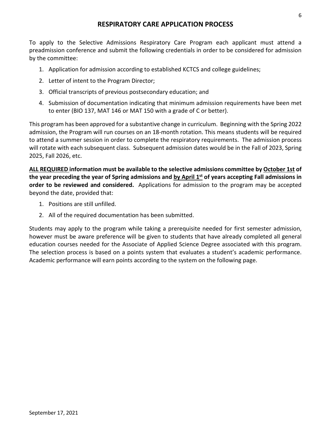# **RESPIRATORY CARE APPLICATION PROCESS**

<span id="page-5-0"></span>To apply to the Selective Admissions Respiratory Care Program each applicant must attend a preadmission conference and submit the following credentials in order to be considered for admission by the committee:

- 1. Application for admission according to established KCTCS and college guidelines;
- 2. Letter of intent to the Program Director;
- 3. Official transcripts of previous postsecondary education; and
- 4. Submission of documentation indicating that minimum admission requirements have been met to enter (BIO 137, MAT 146 or MAT 150 with a grade of C or better).

This program has been approved for a substantive change in curriculum. Beginning with the Spring 2022 admission, the Program will run courses on an 18-month rotation. This means students will be required to attend a summer session in order to complete the respiratory requirements. The admission process will rotate with each subsequent class. Subsequent admission dates would be in the Fall of 2023, Spring 2025, Fall 2026, etc.

**ALL REQUIRED information must be available to the selective admissions committee by October 1st of the year preceding the year of Spring admissions and by April 1st of years accepting Fall admissions in order to be reviewed and considered.** Applications for admission to the program may be accepted beyond the date, provided that:

- 1. Positions are still unfilled.
- 2. All of the required documentation has been submitted.

Students may apply to the program while taking a prerequisite needed for first semester admission, however must be aware preference will be given to students that have already completed all general education courses needed for the Associate of Applied Science Degree associated with this program. The selection process is based on a points system that evaluates a student's academic performance. Academic performance will earn points according to the system on the following page.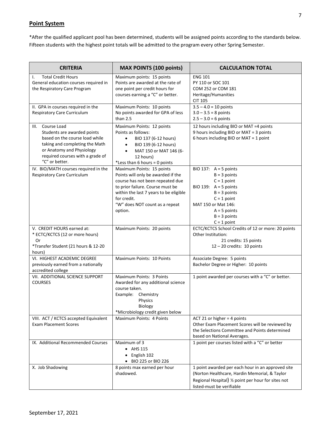#### <span id="page-6-0"></span>**Point System**

\*After the qualified applicant pool has been determined, students will be assigned points according to the standards below. Fifteen students with the highest point totals will be admitted to the program every other Spring Semester.

| <b>CRITERIA</b>                                                                                                                                                                                        | <b>MAX POINTS (100 points)</b>                                                                                                                                                                                                                | <b>CALCULATION TOTAL</b>                                                                                                                                                                             |
|--------------------------------------------------------------------------------------------------------------------------------------------------------------------------------------------------------|-----------------------------------------------------------------------------------------------------------------------------------------------------------------------------------------------------------------------------------------------|------------------------------------------------------------------------------------------------------------------------------------------------------------------------------------------------------|
| <b>Total Credit Hours</b><br>Ι.<br>General education courses required in<br>the Respiratory Care Program                                                                                               | Maximum points: 15 points<br>Points are awarded at the rate of<br>one point per credit hours for<br>courses earning a "C" or better.                                                                                                          | <b>ENG 101</b><br>PY 110 or SOC 101<br>COM 252 or COM 181<br>Heritage/Humanities<br><b>CIT 105</b>                                                                                                   |
| II. GPA in courses required in the<br><b>Respiratory Care Curriculum</b>                                                                                                                               | Maximum Points: 10 points<br>No points awarded for GPA of less<br>than $2.5$                                                                                                                                                                  | $3.5 - 4.0 = 10$ points<br>$3.0 - 3.5 = 8$ points<br>$2.5 - 3.0 = 6$ points                                                                                                                          |
| III. Course Load<br>Students are awarded points<br>based on the course load while<br>taking and completing the Math<br>or Anatomy and Physiology<br>required courses with a grade of<br>"C" or better. | Maximum Points: 12 points<br>Points as follows:<br>BIO 137 (6-12 hours)<br>$\bullet$<br>BIO 139 (6-12 hours)<br>$\bullet$<br>MAT 150 or MAT 146 (6-<br>$\bullet$<br>12 hours)<br>*Less than 6 hours = 0 points                                | 12 hours including BIO or MAT =4 points<br>9 hours including BIO or MAT = 3 points<br>6 hours including BIO or MAT = 1 point                                                                         |
| IV. BIO/MATH courses required in the<br><b>Respiratory Care Curriculum</b>                                                                                                                             | Maximum Points: 15 points<br>Points will only be awarded if the<br>course has not been repeated due<br>to prior failure. Course must be<br>within the last 7 years to be eligible<br>for credit.<br>"W" does NOT count as a repeat<br>option. | BIO 137: $A = 5$ points<br>$B = 3$ points<br>$C = 1$ point<br>BIO 139: $A = 5$ points<br>$B = 3$ points<br>$C = 1$ point<br>MAT 150 or Mat 146:<br>$A = 5$ points<br>$B = 3$ points<br>$C = 1$ point |
| V. CREDIT HOURS earned at:<br>* ECTC/KCTCS (12 or more hours)<br>0r<br>*Transfer Student (21 hours & 12-20<br>hours)                                                                                   | Maximum Points: 20 points                                                                                                                                                                                                                     | ECTC/KCTCS School Credits of 12 or more: 20 points<br>Other Institution:<br>21 credits: 15 points<br>$12 - 20$ credits: 10 points                                                                    |
| VI. HIGHEST ACADEMIC DEGREE<br>previously earned from a nationally<br>accredited college                                                                                                               | Maximum Points: 10 Points                                                                                                                                                                                                                     | Associate Degree: 5 points<br>Bachelor Degree or Higher: 10 points                                                                                                                                   |
| VII. ADDITIONAL SCIENCE SUPPORT<br><b>COURSES</b>                                                                                                                                                      | Maximum Points: 3 Points<br>Awarded for any additional science<br>course taken.<br>Example: Chemistry<br>Physics<br>Biology<br>*Microbiology credit given below                                                                               | 1 point awarded per courses with a "C" or better.                                                                                                                                                    |
| VIII. ACT / KCTCS accepted Equivalent<br><b>Exam Placement Scores</b>                                                                                                                                  | Maximum Points: 4 Points                                                                                                                                                                                                                      | ACT 21 or higher = 4 points<br>Other Exam Placement Scores will be reviewed by<br>the Selections Committee and Points determined<br>based on National Averages.                                      |
| IX. Additional Recommended Courses                                                                                                                                                                     | Maximum of 3<br>$\bullet$ AHS 115<br>English 102<br>BIO 225 or BIO 226                                                                                                                                                                        | 1 point per courses listed with a "C" or better                                                                                                                                                      |
| X. Job Shadowing                                                                                                                                                                                       | 8 points max earned per hour<br>shadowed.                                                                                                                                                                                                     | 1 point awarded per each hour in an approved site<br>(Norton Healthcare, Hardin Memorial, & Taylor<br>Regional Hospital) 1/2 point per hour for sites not<br>listed-must be verifiable               |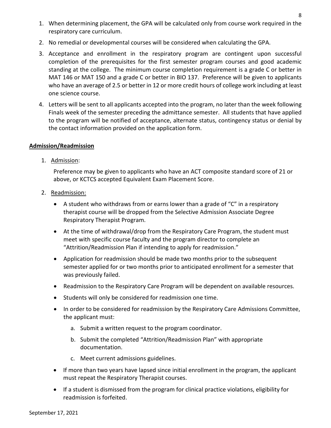- 1. When determining placement, the GPA will be calculated only from course work required in the respiratory care curriculum.
- 2. No remedial or developmental courses will be considered when calculating the GPA.
- 3. Acceptance and enrollment in the respiratory program are contingent upon successful completion of the prerequisites for the first semester program courses and good academic standing at the college. The minimum course completion requirement is a grade C or better in MAT 146 or MAT 150 and a grade C or better in BIO 137. Preference will be given to applicants who have an average of 2.5 or better in 12 or more credit hours of college work including at least one science course.
- 4. Letters will be sent to all applicants accepted into the program, no later than the week following Finals week of the semester preceding the admittance semester. All students that have applied to the program will be notified of acceptance, alternate status, contingency status or denial by the contact information provided on the application form.

### <span id="page-7-0"></span>**Admission/Readmission**

1. Admission:

Preference may be given to applicants who have an ACT composite standard score of 21 or above, or KCTCS accepted Equivalent Exam Placement Score.

- 2. Readmission:
	- A student who withdraws from or earns lower than a grade of "C" in a respiratory therapist course will be dropped from the Selective Admission Associate Degree Respiratory Therapist Program.
	- At the time of withdrawal/drop from the Respiratory Care Program, the student must meet with specific course faculty and the program director to complete an "Attrition/Readmission Plan if intending to apply for readmission."
	- Application for readmission should be made two months prior to the subsequent semester applied for or two months prior to anticipated enrollment for a semester that was previously failed.
	- Readmission to the Respiratory Care Program will be dependent on available resources.
	- Students will only be considered for readmission one time.
	- In order to be considered for readmission by the Respiratory Care Admissions Committee, the applicant must:
		- a. Submit a written request to the program coordinator.
		- b. Submit the completed "Attrition/Readmission Plan" with appropriate documentation.
		- c. Meet current admissions guidelines.
	- If more than two years have lapsed since initial enrollment in the program, the applicant must repeat the Respiratory Therapist courses.
	- If a student is dismissed from the program for clinical practice violations, eligibility for readmission is forfeited.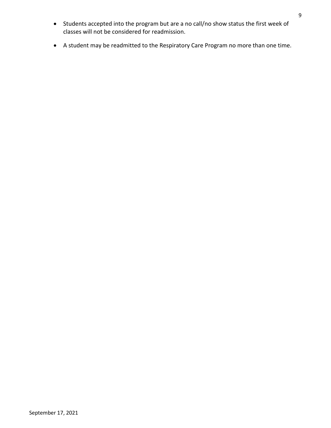- Students accepted into the program but are a no call/no show status the first week of classes will not be considered for readmission.
- A student may be readmitted to the Respiratory Care Program no more than one time.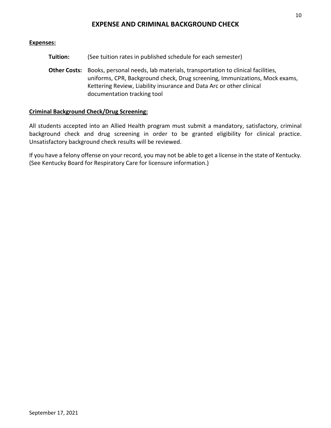### <span id="page-9-1"></span><span id="page-9-0"></span>**Expenses:**

| Tuition: | (See tuition rates in published schedule for each semester)                                                                                                                                                                                                                     |
|----------|---------------------------------------------------------------------------------------------------------------------------------------------------------------------------------------------------------------------------------------------------------------------------------|
|          | Other Costs: Books, personal needs, lab materials, transportation to clinical facilities,<br>uniforms, CPR, Background check, Drug screening, Immunizations, Mock exams,<br>Kettering Review, Liability insurance and Data Arc or other clinical<br>documentation tracking tool |

### <span id="page-9-2"></span>**Criminal Background Check/Drug Screening:**

All students accepted into an Allied Health program must submit a mandatory, satisfactory, criminal background check and drug screening in order to be granted eligibility for clinical practice. Unsatisfactory background check results will be reviewed.

If you have a felony offense on your record, you may not be able to get a license in the state of Kentucky. (See Kentucky Board for Respiratory Care for licensure information.)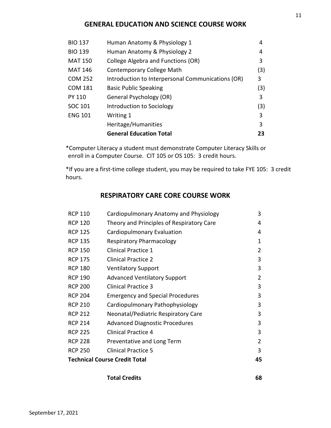# **GENERAL EDUCATION AND SCIENCE COURSE WORK**

<span id="page-10-0"></span>

| <b>BIO 137</b> | Human Anatomy & Physiology 1                      | 4   |
|----------------|---------------------------------------------------|-----|
| <b>BIO 139</b> | Human Anatomy & Physiology 2                      | 4   |
| <b>MAT 150</b> | College Algebra and Functions (OR)                | 3   |
| <b>MAT 146</b> | Contemporary College Math                         | (3) |
| <b>COM 252</b> | Introduction to Interpersonal Communications (OR) | 3   |
| <b>COM 181</b> | <b>Basic Public Speaking</b>                      | (3) |
| <b>PY 110</b>  | General Psychology (OR)                           | 3   |
| SOC 101        | Introduction to Sociology                         | (3) |
| <b>ENG 101</b> | Writing 1                                         | 3   |
|                | Heritage/Humanities                               | 3   |
|                | <b>General Education Total</b>                    | 23  |

\*Computer Literacy a student must demonstrate Computer Literacy Skills or enroll in a Computer Course. CIT 105 or OS 105: 3 credit hours.

<span id="page-10-1"></span>\*If you are a first-time college student, you may be required to take FYE 105: 3 credit hours.

# **RESPIRATORY CARE CORE COURSE WORK**

|                | <b>Technical Course Credit Total</b>      | 45 |
|----------------|-------------------------------------------|----|
| <b>RCP 250</b> | <b>Clinical Practice 5</b>                | 3  |
| <b>RCP 228</b> | Preventative and Long Term                | 2  |
| <b>RCP 225</b> | <b>Clinical Practice 4</b>                | 3  |
| <b>RCP 214</b> | <b>Advanced Diagnostic Procedures</b>     | 3  |
| <b>RCP 212</b> | Neonatal/Pediatric Respiratory Care       | 3  |
| <b>RCP 210</b> | Cardiopulmonary Pathophysiology           | 3  |
| <b>RCP 204</b> | <b>Emergency and Special Procedures</b>   | 3  |
| <b>RCP 200</b> | <b>Clinical Practice 3</b>                | 3  |
| <b>RCP 190</b> | <b>Advanced Ventilatory Support</b>       | 2  |
| <b>RCP 180</b> | <b>Ventilatory Support</b>                | 3  |
| <b>RCP 175</b> | <b>Clinical Practice 2</b>                | 3  |
| <b>RCP 150</b> | <b>Clinical Practice 1</b>                | 2  |
| <b>RCP 135</b> | <b>Respiratory Pharmacology</b>           | 1  |
| <b>RCP 125</b> | Cardiopulmonary Evaluation                | 4  |
| <b>RCP 120</b> | Theory and Principles of Respiratory Care | 4  |
| <b>RCP 110</b> | Cardiopulmonary Anatomy and Physiology    | 3  |

| <b>Total Credits</b> | 68 |
|----------------------|----|
|                      |    |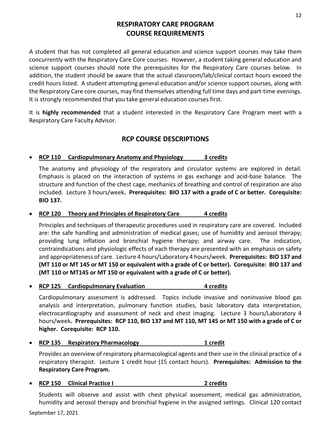# **RESPIRATORY CARE PROGRAM COURSE REQUIREMENTS**

<span id="page-11-0"></span>A student that has not completed all general education and science support courses may take them concurrently with the Respiratory Care Core courses. However, a student taking general education and science support courses should note the prerequisites for the Respiratory Care courses below. In addition, the student should be aware that the actual classroom/lab/clinical contact hours exceed the credit hours listed. A student attempting general education and/or science support courses, along with the Respiratory Care core courses, may find themselves attending full time days and part-time evenings. It is strongly recommended that you take general education courses first.

It is **highly recommended** that a student interested in the Respiratory Care Program meet with a Respiratory Care Faculty Advisor.

# **RCP COURSE DESCRIPTIONS**

### <span id="page-11-1"></span>• **RCP 110 Cardiopulmonary Anatomy and Physiology 3 credits**

The anatomy and physiology of the respiratory and circulator systems are explored in detail. Emphasis is placed on the interaction of systems in gas exchange and acid-base balance. The structure and function of the chest cage, mechanics of breathing and control of respiration are also included. Lecture 3 hours/week**. Prerequisites: BIO 137 with a grade of C or better. Corequisite: BIO 137.** 

#### • **RCP 120 Theory and Principles of Respiratory Care** 4 credits

Principles and techniques of therapeutic procedures used in respiratory care are covered. Included are: the safe handling and administration of medical gases; use of humidity and aerosol therapy; providing lung inflation and bronchial hygiene therapy; and airway care. The indication, contraindications and physiologic effects of each therapy are presented with an emphasis on safety and appropriateness of care. Lecture 4 hours/Laboratory 4 hours/week. **Prerequisites: BIO 137 and (MT 110 or MT 145 or MT 150 or equivalent with a grade of C or better). Corequisite: BIO 137 and (MT 110 or MT145 or MT 150 or equivalent with a grade of C or better).**

#### **RCP 125** Cardiopulmonary Evaluation **4** Credits

Cardiopulmonary assessment is addressed. Topics include invasive and noninvasive blood gas analysis and interpretation, pulmonary function studies, basic laboratory data interpretation, electrocardiography and assessment of neck and chest imaging. Lecture 3 hours/Laboratory 4 hours/week**. Prerequisites: RCP 110, BIO 137 and MT 110, MT 145 or MT 150 with a grade of C or higher. Corequisite: RCP 110.** 

• **RCP 135 Respiratory Pharmacology 1 credit**

Provides an overview of respiratory pharmacological agents and their use in the clinical practice of a respiratory therapist. Lecture 1 credit hour (15 contact hours). **Prerequisites: Admission to the Respiratory Care Program.**

#### • **RCP 150 Clinical Practice I 2 credits**

Students will observe and assist with chest physical assessment, medical gas administration, humidity and aerosol therapy and bronchial hygiene in the assigned settings. Clinical 120 contact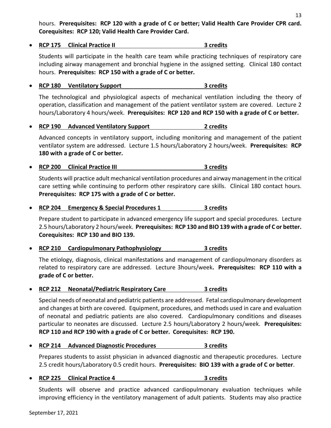hours. **Prerequisites: RCP 120 with a grade of C or better; Valid Health Care Provider CPR card. Corequisites: RCP 120; Valid Health Care Provider Card.**

• **RCP 175 Clinical Practice II 3 credits**

Students will participate in the health care team while practicing techniques of respiratory care including airway management and bronchial hygiene in the assigned setting. Clinical 180 contact hours. **Prerequisites: RCP 150 with a grade of C or better.**

### • **RCP 180 Ventilatory Support 3 credits**

The technological and physiological aspects of mechanical ventilation including the theory of operation, classification and management of the patient ventilator system are covered. Lecture 2 hours/Laboratory 4 hours/week. **Prerequisites: RCP 120 and RCP 150 with a grade of C or better.**

#### • **RCP 190 Advanced Ventilatory Support 2 credits**

Advanced concepts in ventilatory support, including monitoring and management of the patient ventilator system are addressed. Lecture 1.5 hours/Laboratory 2 hours/week. **Prerequisites: RCP 180 with a grade of C or better.**

#### • **RCP 200 Clinical Practice III 3 credits**

Students will practice adult mechanical ventilation procedures and airway management in the critical care setting while continuing to perform other respiratory care skills. Clinical 180 contact hours. **Prerequisites: RCP 175 with a grade of C or better.**

• **RCP 204 Emergency & Special Procedures 1 3 credits**

Prepare student to participate in advanced emergency life support and special procedures. Lecture 2.5 hours/Laboratory 2 hours/week. **Prerequisites: RCP 130 and BIO 139 with a grade of C or better. Corequisites: RCP 130 and BIO 139.**

• **RCP 210 Cardiopulmonary Pathophysiology 3 credits**

The etiology, diagnosis, clinical manifestations and management of cardiopulmonary disorders as related to respiratory care are addressed. Lecture 3hours/week**. Prerequisites: RCP 110 with a grade of C or better.**

• **RCP 212 Neonatal/Pediatric Respiratory Care 3 credits**

Special needs of neonatal and pediatric patients are addressed. Fetal cardiopulmonary development and changes at birth are covered. Equipment, procedures, and methods used in care and evaluation of neonatal and pediatric patients are also covered. Cardiopulmonary conditions and diseases particular to neonates are discussed. Lecture 2.5 hours/Laboratory 2 hours/week. **Prerequisites: RCP 110 and RCP 190 with a grade of C or better. Corequisites: RCP 190.**

• **RCP 214 Advanced Diagnostic Procedures 3 credits**

Prepares students to assist physician in advanced diagnostic and therapeutic procedures. Lecture 2.5 credit hours/Laboratory 0.5 credit hours. **Prerequisites: BIO 139 with a grade of C or better**.

#### • **RCP 225 Clinical Practice 4 3 credits**

Students will observe and practice advanced cardiopulmonary evaluation techniques while improving efficiency in the ventilatory management of adult patients. Students may also practice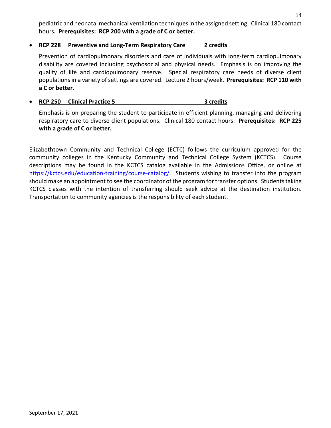14

pediatric and neonatal mechanical ventilation techniques in the assigned setting. Clinical 180 contact hours**. Prerequisites: RCP 200 with a grade of C or better.**

#### • **RCP 228 Preventive and Long-Term Respiratory Care 2 credits**

Prevention of cardiopulmonary disorders and care of individuals with long-term cardiopulmonary disability are covered including psychosocial and physical needs. Emphasis is on improving the quality of life and cardiopulmonary reserve. Special respiratory care needs of diverse client populations in a variety of settings are covered. Lecture 2 hours/week. **Prerequisites: RCP 110 with a C or better.**

### • **RCP 250 Clinical Practice 5 3 credits**

Emphasis is on preparing the student to participate in efficient planning, managing and delivering respiratory care to diverse client populations. Clinical 180 contact hours. **Prerequisites: RCP 225 with a grade of C or better.**

Elizabethtown Community and Technical College (ECTC) follows the curriculum approved for the community colleges in the Kentucky Community and Technical College System (KCTCS). Course descriptions may be found in the KCTCS catalog available in the Admissions Office, or online at [https://kctcs.edu/education-training/course-catalog/.](https://kctcs.edu/education-training/course-catalog/index.aspx) Students wishing to transfer into the program should make an appointment to see the coordinator of the program for transfer options. Students taking KCTCS classes with the intention of transferring should seek advice at the destination institution. Transportation to community agencies is the responsibility of each student.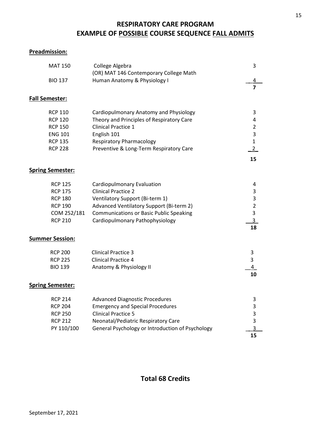# **RESPIRATORY CARE PROGRAM EXAMPLE OF POSSIBLE COURSE SEQUENCE FALL ADMITS**

# <span id="page-14-1"></span><span id="page-14-0"></span>**Preadmission:**

<span id="page-14-4"></span><span id="page-14-3"></span><span id="page-14-2"></span>

|                         | <b>MAT 150</b>                                                                                           | College Algebra<br>(OR) MAT 146 Contemporary College Math                                                                                                                                                                    | 3                                                                              |
|-------------------------|----------------------------------------------------------------------------------------------------------|------------------------------------------------------------------------------------------------------------------------------------------------------------------------------------------------------------------------------|--------------------------------------------------------------------------------|
|                         | <b>BIO 137</b>                                                                                           | Human Anatomy & Physiology I                                                                                                                                                                                                 | 4                                                                              |
|                         |                                                                                                          |                                                                                                                                                                                                                              | $\overline{\mathbf{z}}$                                                        |
| <b>Fall Semester:</b>   |                                                                                                          |                                                                                                                                                                                                                              |                                                                                |
|                         | <b>RCP 110</b><br><b>RCP 120</b><br><b>RCP 150</b><br><b>ENG 101</b><br><b>RCP 135</b><br><b>RCP 228</b> | Cardiopulmonary Anatomy and Physiology<br>Theory and Principles of Respiratory Care<br><b>Clinical Practice 1</b><br>English 101<br><b>Respiratory Pharmacology</b><br>Preventive & Long-Term Respiratory Care               | 3<br>4<br>$\overline{2}$<br>$\overline{\mathbf{3}}$<br>$\mathbf{1}$<br>2<br>15 |
| <b>Spring Semester:</b> |                                                                                                          |                                                                                                                                                                                                                              |                                                                                |
|                         | <b>RCP 125</b><br><b>RCP 175</b><br><b>RCP 180</b><br><b>RCP 190</b><br>COM 252/181<br><b>RCP 210</b>    | Cardiopulmonary Evaluation<br><b>Clinical Practice 2</b><br>Ventilatory Support (Bi-term 1)<br>Advanced Ventilatory Support (Bi-term 2)<br><b>Communications or Basic Public Speaking</b><br>Cardiopulmonary Pathophysiology | 4<br>3<br>3<br>$\overline{2}$<br>3<br>3<br>18                                  |
| <b>Summer Session:</b>  |                                                                                                          |                                                                                                                                                                                                                              |                                                                                |
|                         | <b>RCP 200</b><br><b>RCP 225</b><br><b>BIO 139</b>                                                       | <b>Clinical Practice 3</b><br><b>Clinical Practice 4</b><br>Anatomy & Physiology II                                                                                                                                          | 3<br>3<br>$\overline{a}$<br>10                                                 |
| <b>Spring Semester:</b> |                                                                                                          |                                                                                                                                                                                                                              |                                                                                |
|                         | <b>RCP 214</b><br><b>RCP 204</b><br><b>RCP 250</b><br><b>RCP 212</b><br>PY 110/100                       | <b>Advanced Diagnostic Procedures</b><br><b>Emergency and Special Procedures</b><br><b>Clinical Practice 5</b><br>Neonatal/Pediatric Respiratory Care<br>General Psychology or Introduction of Psychology                    | 3<br>3<br>3<br>3<br>3<br>15                                                    |

<span id="page-14-6"></span><span id="page-14-5"></span>**Total 68 Credits**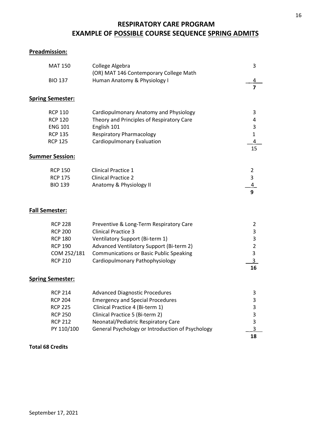# <span id="page-15-0"></span>**RESPIRATORY CARE PROGRAM EXAMPLE OF POSSIBLE COURSE SEQUENCE SPRING ADMITS**

# <span id="page-15-1"></span>**Preadmission:**

<span id="page-15-3"></span><span id="page-15-2"></span>

| College Algebra                                                                                                                                                                                                                                   | 3                                                                      |
|---------------------------------------------------------------------------------------------------------------------------------------------------------------------------------------------------------------------------------------------------|------------------------------------------------------------------------|
|                                                                                                                                                                                                                                                   | 4                                                                      |
|                                                                                                                                                                                                                                                   | $\overline{7}$                                                         |
|                                                                                                                                                                                                                                                   |                                                                        |
| Cardiopulmonary Anatomy and Physiology<br>Theory and Principles of Respiratory Care<br>English 101<br><b>Respiratory Pharmacology</b><br>Cardiopulmonary Evaluation                                                                               | 3<br>4<br>3<br>$\mathbf{1}$<br>$\overline{\mathbf{4}}$<br>15           |
|                                                                                                                                                                                                                                                   |                                                                        |
| <b>Clinical Practice 1</b><br><b>Clinical Practice 2</b><br>Anatomy & Physiology II                                                                                                                                                               | $\overline{2}$<br>3<br>$\overline{4}$<br>9                             |
|                                                                                                                                                                                                                                                   |                                                                        |
| Preventive & Long-Term Respiratory Care<br><b>Clinical Practice 3</b><br>Ventilatory Support (Bi-term 1)<br>Advanced Ventilatory Support (Bi-term 2)<br><b>Communications or Basic Public Speaking</b><br>Cardiopulmonary Pathophysiology         | $\overline{2}$<br>3<br>3<br>$\overline{2}$<br>3<br>$3-$<br>16          |
|                                                                                                                                                                                                                                                   |                                                                        |
| <b>Advanced Diagnostic Procedures</b><br><b>Emergency and Special Procedures</b><br>Clinical Practice 4 (Bi-term 1)<br>Clinical Practice 5 (Bi-term 2)<br>Neonatal/Pediatric Respiratory Care<br>General Psychology or Introduction of Psychology | 3<br>3<br>3<br>3<br>3<br>3<br>18                                       |
|                                                                                                                                                                                                                                                   | (OR) MAT 146 Contemporary College Math<br>Human Anatomy & Physiology I |

#### <span id="page-15-5"></span><span id="page-15-4"></span>**Total 68 Credits**